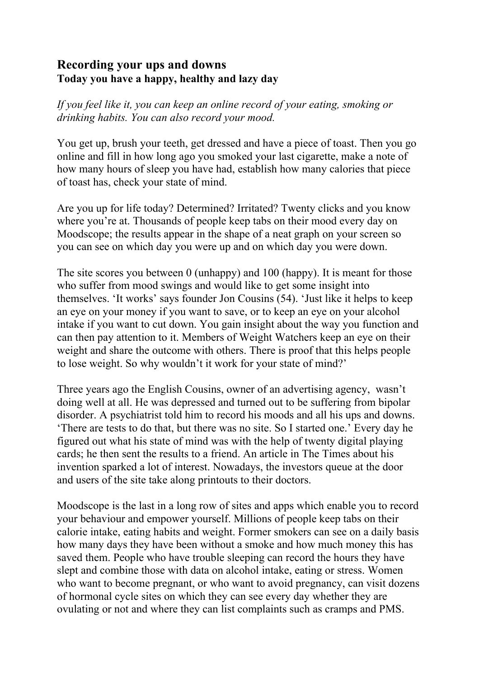## **Recording your ups and downs Today you have a happy, healthy and lazy day**

*If you feel like it, you can keep an online record of your eating, smoking or drinking habits. You can also record your mood.*

You get up, brush your teeth, get dressed and have a piece of toast. Then you go online and fill in how long ago you smoked your last cigarette, make a note of how many hours of sleep you have had, establish how many calories that piece of toast has, check your state of mind.

Are you up for life today? Determined? Irritated? Twenty clicks and you know where you're at. Thousands of people keep tabs on their mood every day on Moodscope; the results appear in the shape of a neat graph on your screen so you can see on which day you were up and on which day you were down.

The site scores you between 0 (unhappy) and 100 (happy). It is meant for those who suffer from mood swings and would like to get some insight into themselves. 'It works' says founder Jon Cousins (54). 'Just like it helps to keep an eye on your money if you want to save, or to keep an eye on your alcohol intake if you want to cut down. You gain insight about the way you function and can then pay attention to it. Members of Weight Watchers keep an eye on their weight and share the outcome with others. There is proof that this helps people to lose weight. So why wouldn't it work for your state of mind?'

Three years ago the English Cousins, owner of an advertising agency, wasn't doing well at all. He was depressed and turned out to be suffering from bipolar disorder. A psychiatrist told him to record his moods and all his ups and downs. 'There are tests to do that, but there was no site. So I started one.' Every day he figured out what his state of mind was with the help of twenty digital playing cards; he then sent the results to a friend. An article in The Times about his invention sparked a lot of interest. Nowadays, the investors queue at the door and users of the site take along printouts to their doctors.

Moodscope is the last in a long row of sites and apps which enable you to record your behaviour and empower yourself. Millions of people keep tabs on their calorie intake, eating habits and weight. Former smokers can see on a daily basis how many days they have been without a smoke and how much money this has saved them. People who have trouble sleeping can record the hours they have slept and combine those with data on alcohol intake, eating or stress. Women who want to become pregnant, or who want to avoid pregnancy, can visit dozens of hormonal cycle sites on which they can see every day whether they are ovulating or not and where they can list complaints such as cramps and PMS.